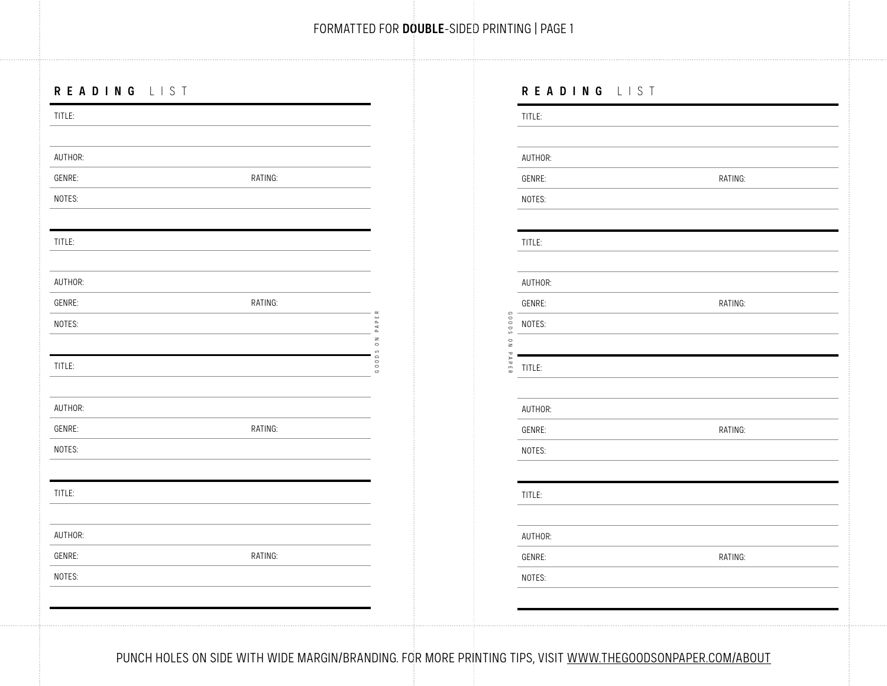## **READING** LIST

| TITLE:  |         |                                   | TITLE:                    |         |
|---------|---------|-----------------------------------|---------------------------|---------|
|         |         |                                   |                           |         |
| AUTHOR: |         |                                   | AUTHOR:                   |         |
| GENRE:  | RATING: |                                   | GENRE:                    | RATING: |
| NOTES:  |         |                                   | NOTES:                    |         |
|         |         |                                   |                           |         |
| TITLE:  |         |                                   | TITLE:                    |         |
|         |         |                                   |                           |         |
| AUTHOR: |         |                                   | AUTHOR:                   |         |
| GENRE:  | RATING: |                                   | GENRE:                    | RATING: |
| NOTES:  |         | $\mathbf{H}$<br>$\mathbf{\Omega}$ | SO003<br>NOTES:           |         |
|         |         | $\geq$<br>$\circ$                 | $_{\rm z}^{\rm o}$<br>P A |         |
| TITLE:  |         | $\circ$                           | PER<br>TITLE:             |         |
|         |         |                                   |                           |         |
| AUTHOR: |         |                                   | AUTHOR:                   |         |
| GENRE:  | RATING: |                                   | GENRE:                    | RATING: |
| NOTES:  |         |                                   | NOTES:                    |         |
|         |         |                                   |                           |         |
| TITLE:  |         |                                   | TITLE:                    |         |
|         |         |                                   |                           |         |
| AUTHOR: |         |                                   | AUTHOR:                   |         |
| GENRE:  | RATING: |                                   | GENRE:                    | RATING: |
| NOTES:  |         |                                   | NOTES:                    |         |
|         |         |                                   |                           |         |
|         |         |                                   |                           |         |

| TITLE:  |         |
|---------|---------|
|         |         |
| AUTHOR: |         |
| GENRE:  | RATING: |
| NOTES:  |         |
|         |         |
| TITLE:  |         |
|         |         |
| AUTHOR: |         |
| GENRE:  | RATING: |
| NOTES:  |         |
|         |         |
| TITLE:  |         |
|         |         |
| AUTHOR: |         |
| GENRE:  | RATING: |
| NOTES:  |         |
|         |         |
| TITLE:  |         |
|         |         |
| AUTHOR: |         |
| GENRE:  | RATING: |
| NOTES:  |         |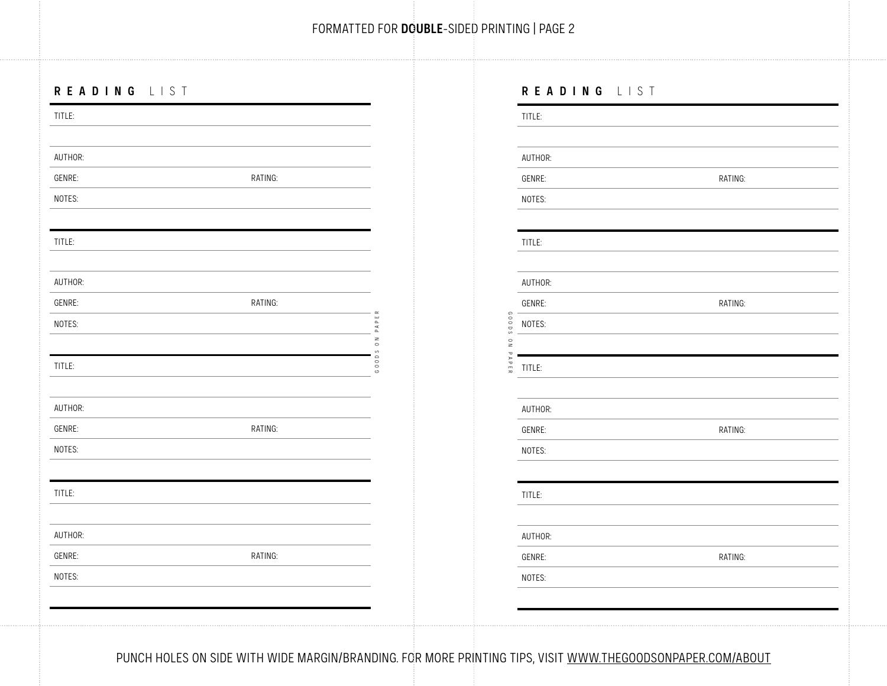## **READING** LIST

| TITLE:  |                                                                                                            |                                     |                                  | TITLE:  |         |
|---------|------------------------------------------------------------------------------------------------------------|-------------------------------------|----------------------------------|---------|---------|
|         |                                                                                                            |                                     |                                  |         |         |
| AUTHOR: |                                                                                                            |                                     |                                  | AUTHOR: |         |
| GENRE:  | RATING:                                                                                                    |                                     |                                  | GENRE:  | RATING: |
| NOTES:  |                                                                                                            |                                     |                                  | NOTES:  |         |
|         |                                                                                                            |                                     |                                  |         |         |
| TITLE:  |                                                                                                            |                                     |                                  | TITLE:  |         |
|         |                                                                                                            |                                     |                                  |         |         |
| AUTHOR: |                                                                                                            |                                     |                                  | AUTHOR: |         |
| GENRE:  | RATING:                                                                                                    | $\alpha$                            |                                  | GENRE:  | RATING: |
| NOTES:  |                                                                                                            | $\mathbf{\Omega}$                   | SO003                            | NOTES:  |         |
|         |                                                                                                            | $\geq$<br>$\circ$                   | $\frac{0}{2}$<br>$\mathbbmss{d}$ |         |         |
| TITLE:  |                                                                                                            | $\frac{0}{0}$<br>$\circ$<br>$\circ$ | PER                              | TITLE:  |         |
|         |                                                                                                            |                                     |                                  |         |         |
| AUTHOR: |                                                                                                            |                                     |                                  | AUTHOR: |         |
| GENRE:  | RATING:                                                                                                    |                                     |                                  | GENRE:  | RATING: |
| NOTES:  |                                                                                                            |                                     |                                  | NOTES:  |         |
|         |                                                                                                            |                                     |                                  |         |         |
| TITLE:  |                                                                                                            |                                     |                                  | TITLE:  |         |
|         |                                                                                                            |                                     |                                  |         |         |
| AUTHOR: |                                                                                                            |                                     |                                  | AUTHOR: |         |
| GENRE:  | RATING:                                                                                                    |                                     |                                  | GENRE:  | RATING: |
| NOTES:  |                                                                                                            |                                     |                                  | NOTES:  |         |
|         |                                                                                                            |                                     |                                  |         |         |
|         |                                                                                                            |                                     |                                  |         |         |
|         |                                                                                                            |                                     |                                  |         |         |
|         | PUNCH HOLES ON SIDE WITH WIDE MARGIN/BRANDING. FOR MORE PRINTING TIPS, VISIT WWW.THEGOODSONPAPER.COM/ABOUT |                                     |                                  |         |         |

| TITLE:  |         |
|---------|---------|
|         |         |
| AUTHOR: |         |
| GENRE:  | RATING: |
| NOTES:  |         |
| TITLE:  |         |
| AUTHOR: |         |
| GENRE:  | RATING: |
| NOTES:  |         |
| TITLE:  |         |
| AUTHOR: |         |
| GENRE:  | RATING: |
| NOTES:  |         |
| TITLE:  |         |
| AUTHOR: |         |
| GENRE:  | RATING: |
| NOTES:  |         |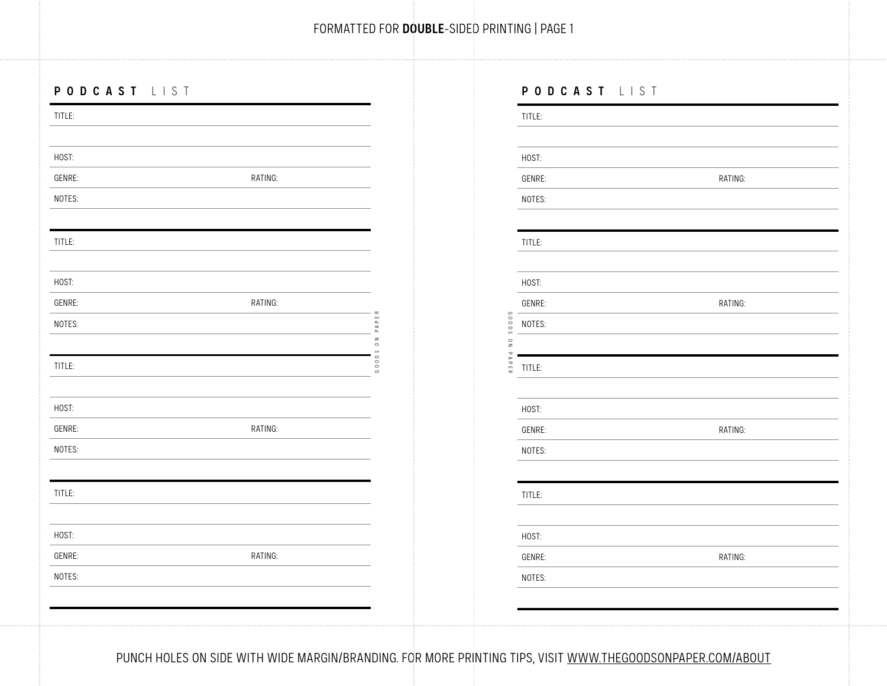## **PODCAST** LIST

| TITLE: |                                                                                                            |                                                  | TITLE:                       |         |
|--------|------------------------------------------------------------------------------------------------------------|--------------------------------------------------|------------------------------|---------|
|        |                                                                                                            |                                                  |                              |         |
| HOST:  |                                                                                                            |                                                  | HOST:                        |         |
| GENRE: | RATING:                                                                                                    |                                                  | GENRE:                       | RATING: |
| NOTES: |                                                                                                            |                                                  | NOTES:                       |         |
|        |                                                                                                            |                                                  |                              |         |
| TITLE: |                                                                                                            |                                                  | TITLE:                       |         |
|        |                                                                                                            |                                                  |                              |         |
| HOST:  |                                                                                                            |                                                  | HOST:                        |         |
| GENRE: | RATING:                                                                                                    |                                                  | GENRE:                       | RATING: |
| NOTES: |                                                                                                            | $\Delta$<br>$\overline{\phantom{a}}$<br>$\alpha$ | SO003<br>NOTES:              |         |
|        |                                                                                                            | $\geq$<br>$\circ$                                | $\frac{\circ}{\circ}$<br>P A |         |
| TITLE: |                                                                                                            | $\rm ^{\circ}$<br>$^{\circ}_{\circ}$             | PER<br>TITLE:                |         |
|        |                                                                                                            |                                                  |                              |         |
| HOST:  |                                                                                                            |                                                  | HOST:                        |         |
| GENRE: | RATING:                                                                                                    |                                                  | GENRE:                       | RATING: |
| NOTES: |                                                                                                            |                                                  | NOTES:                       |         |
|        |                                                                                                            |                                                  |                              |         |
| TITLE: |                                                                                                            |                                                  | TITLE:                       |         |
|        |                                                                                                            |                                                  |                              |         |
| HOST:  |                                                                                                            |                                                  | HOST:                        |         |
| GENRE: | RATING:                                                                                                    |                                                  | GENRE:                       | RATING: |
| NOTES: |                                                                                                            |                                                  | NOTES:                       |         |
|        |                                                                                                            |                                                  |                              |         |
|        |                                                                                                            |                                                  |                              |         |
|        |                                                                                                            |                                                  |                              |         |
|        | PUNCH HOLES ON SIDE WITH WIDE MARGIN/BRANDING. FOR MORE PRINTING TIPS, VISIT WWW.THEGOODSONPAPER.COM/ABOUT |                                                  |                              |         |

| TITLE:        |         |
|---------------|---------|
|               |         |
| HOST:         |         |
| GENRE:        | RATING: |
| NOTES:        |         |
| TITLE:        |         |
| HOST:         |         |
| GENRE:        | RATING: |
| NOTES:        |         |
| TITLE:        |         |
| HOST:         |         |
| GENRE:        | RATING: |
| NOTES:        |         |
| TITLE:        |         |
| HOST:         |         |
| <b>GENRE:</b> | RATING: |